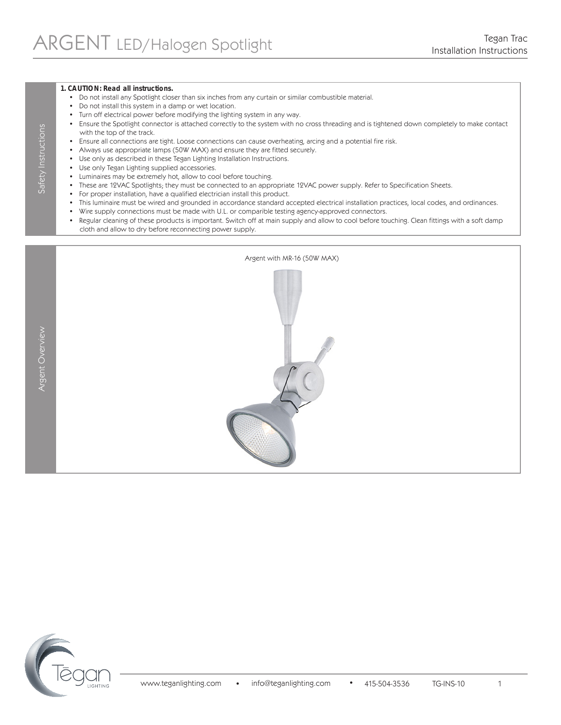#### **1. CAUTION: Read all instructions.**

- Do not install any Spotlight closer than six inches from any curtain or similar combustible material.
- Do not install this system in a damp or wet location.
- Turn off electrical power before modifying the lighting system in any way.
- Ensure the Spotlight connector is attached correctly to the system with no cross threading and is tightened down completely to make contact with the top of the track.
- Ensure all connections are tight. Loose connections can cause overheating, arcing and a potential fire risk.
- Always use appropriate lamps (50W MAX) and ensure they are fitted securely.
- Use only as described in these Tegan Lighting Installation Instructions.
- Use only Tegan Lighting supplied accessories.
- Luminaires may be extremely hot, allow to cool before touching.
- These are 12VAC Spotlights; they must be connected to an appropriate 12VAC power supply. Refer to Specification Sheets.
- For proper installation, have a qualified electrician install this product.
- This luminaire must be wired and grounded in accordance standard accepted electrical installation practices, local codes, and ordinances.
- Wire supply connections must be made with U.L. or comparible testing agency-approved connectors.
- Regular cleaning of these products is important. Switch off at main supply and allow to cool before touching. Clean fittings with a soft damp cloth and allow to dry before reconnecting power supply.

Argent Overview Safety Instructions Argent Overview

Safety Instructions